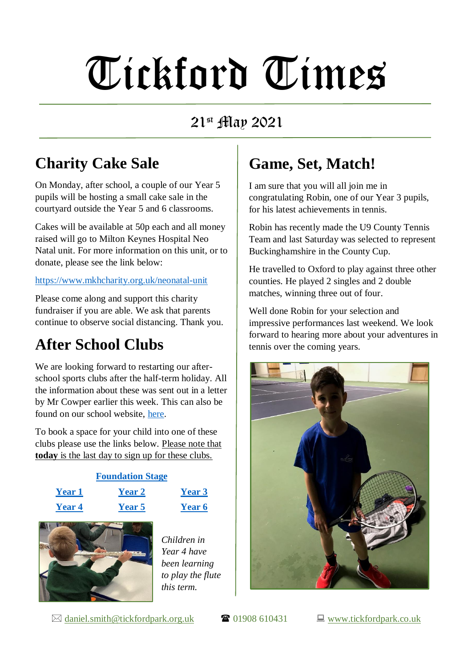## Tickford Times

#### 21st May 2021

### **Charity Cake Sale**

On Monday, after school, a couple of our Year 5 pupils will be hosting a small cake sale in the courtyard outside the Year 5 and 6 classrooms.

Cakes will be available at 50p each and all money raised will go to Milton Keynes Hospital Neo Natal unit. For more information on this unit, or to donate, please see the link below:

#### <https://www.mkhcharity.org.uk/neonatal-unit>

Please come along and support this charity fundraiser if you are able. We ask that parents continue to observe social distancing. Thank you.

#### **After School Clubs**

We are looking forward to restarting our afterschool sports clubs after the half-term holiday. All the information about these was sent out in a letter by Mr Cowper earlier this week. This can also be found on our school website, [here.](https://www.tickfordpark.co.uk/uploads/1/0/8/8/10881774/clubs.pdf)

To book a space for your child into one of these clubs please use the links below. Please note that **today** is the last day to sign up for these clubs.



### **Game, Set, Match!**

I am sure that you will all join me in congratulating Robin, one of our Year 3 pupils, for his latest achievements in tennis.

Robin has recently made the U9 County Tennis Team and last Saturday was selected to represent Buckinghamshire in the County Cup.

He travelled to Oxford to play against three other counties. He played 2 singles and 2 double matches, winning three out of four.

Well done Robin for your selection and impressive performances last weekend. We look forward to hearing more about your adventures in tennis over the coming years.



 $\boxtimes$  [daniel.smith@tickfordpark.org.uk](mailto:daniel.smith@tickfordpark.org.uk)  $\bullet$  01908 610431  $\Box$  [www.tickfordpark.co.uk](http://www.tickfordpark.co.uk/)